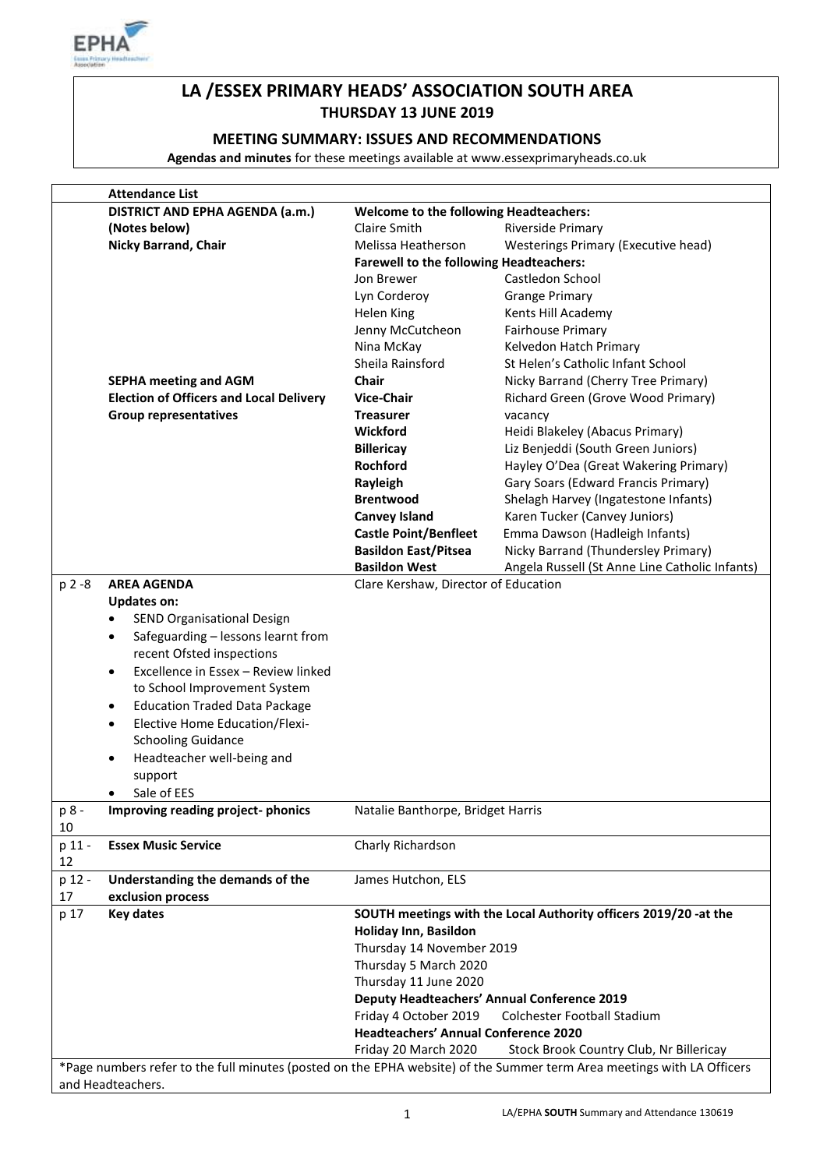

# **LA /ESSEX PRIMARY HEADS' ASSOCIATION SOUTH AREA THURSDAY 13 JUNE 2019**

### **MEETING SUMMARY: ISSUES AND RECOMMENDATIONS**

**Agendas and minutes** for these meetings available at www.essexprimaryheads.co.uk

|           | <b>Attendance List</b>                               |                                                                  |                                                                                                                        |
|-----------|------------------------------------------------------|------------------------------------------------------------------|------------------------------------------------------------------------------------------------------------------------|
|           | DISTRICT AND EPHA AGENDA (a.m.)                      | <b>Welcome to the following Headteachers:</b>                    |                                                                                                                        |
|           | (Notes below)                                        | Claire Smith                                                     | Riverside Primary                                                                                                      |
|           | <b>Nicky Barrand, Chair</b>                          | Melissa Heatherson                                               | Westerings Primary (Executive head)                                                                                    |
|           |                                                      | <b>Farewell to the following Headteachers:</b>                   |                                                                                                                        |
|           |                                                      | Jon Brewer                                                       | Castledon School                                                                                                       |
|           |                                                      | Lyn Corderoy                                                     | <b>Grange Primary</b>                                                                                                  |
|           |                                                      | Helen King                                                       | Kents Hill Academy                                                                                                     |
|           |                                                      | Jenny McCutcheon                                                 | <b>Fairhouse Primary</b>                                                                                               |
|           |                                                      | Nina McKay                                                       | Kelvedon Hatch Primary                                                                                                 |
|           |                                                      | Sheila Rainsford                                                 | St Helen's Catholic Infant School                                                                                      |
|           | <b>SEPHA meeting and AGM</b>                         | Chair                                                            | Nicky Barrand (Cherry Tree Primary)                                                                                    |
|           | <b>Election of Officers and Local Delivery</b>       | <b>Vice-Chair</b>                                                | Richard Green (Grove Wood Primary)                                                                                     |
|           | <b>Group representatives</b>                         | <b>Treasurer</b>                                                 | vacancy                                                                                                                |
|           |                                                      | Wickford                                                         | Heidi Blakeley (Abacus Primary)                                                                                        |
|           |                                                      | <b>Billericay</b>                                                | Liz Benjeddi (South Green Juniors)                                                                                     |
|           |                                                      | Rochford                                                         | Hayley O'Dea (Great Wakering Primary)                                                                                  |
|           |                                                      | Rayleigh                                                         | Gary Soars (Edward Francis Primary)                                                                                    |
|           |                                                      | <b>Brentwood</b>                                                 | Shelagh Harvey (Ingatestone Infants)                                                                                   |
|           |                                                      | <b>Canvey Island</b>                                             | Karen Tucker (Canvey Juniors)                                                                                          |
|           |                                                      | <b>Castle Point/Benfleet</b>                                     | Emma Dawson (Hadleigh Infants)                                                                                         |
|           |                                                      | <b>Basildon East/Pitsea</b>                                      | Nicky Barrand (Thundersley Primary)                                                                                    |
|           |                                                      | <b>Basildon West</b>                                             |                                                                                                                        |
| $p 2 - 8$ | <b>AREA AGENDA</b>                                   |                                                                  | Angela Russell (St Anne Line Catholic Infants)                                                                         |
|           |                                                      | Clare Kershaw, Director of Education                             |                                                                                                                        |
|           | <b>Updates on:</b>                                   |                                                                  |                                                                                                                        |
|           | SEND Organisational Design<br>$\bullet$              |                                                                  |                                                                                                                        |
|           | Safeguarding - lessons learnt from<br>$\bullet$      |                                                                  |                                                                                                                        |
|           | recent Ofsted inspections                            |                                                                  |                                                                                                                        |
|           | Excellence in Essex - Review linked<br>$\bullet$     |                                                                  |                                                                                                                        |
|           | to School Improvement System                         |                                                                  |                                                                                                                        |
|           | <b>Education Traded Data Package</b><br>$\bullet$    |                                                                  |                                                                                                                        |
|           | <b>Elective Home Education/Flexi-</b><br>$\bullet$   |                                                                  |                                                                                                                        |
|           | <b>Schooling Guidance</b>                            |                                                                  |                                                                                                                        |
|           | Headteacher well-being and                           |                                                                  |                                                                                                                        |
|           | support                                              |                                                                  |                                                                                                                        |
|           | Sale of EES                                          |                                                                  |                                                                                                                        |
| p 8 -     | Improving reading project-phonics                    | Natalie Banthorpe, Bridget Harris                                |                                                                                                                        |
| 10        |                                                      |                                                                  |                                                                                                                        |
| p 11 -    | <b>Essex Music Service</b>                           | Charly Richardson                                                |                                                                                                                        |
| 12        |                                                      |                                                                  |                                                                                                                        |
| p 12 -    | Understanding the demands of the                     | James Hutchon, ELS                                               |                                                                                                                        |
| 17        | exclusion process                                    |                                                                  |                                                                                                                        |
| p 17      | <b>Key dates</b>                                     | SOUTH meetings with the Local Authority officers 2019/20 -at the |                                                                                                                        |
|           |                                                      | Holiday Inn, Basildon<br>Thursday 14 November 2019               |                                                                                                                        |
|           |                                                      |                                                                  |                                                                                                                        |
|           |                                                      | Thursday 5 March 2020                                            |                                                                                                                        |
|           |                                                      | Thursday 11 June 2020                                            |                                                                                                                        |
|           |                                                      | <b>Deputy Headteachers' Annual Conference 2019</b>               |                                                                                                                        |
|           | Friday 4 October 2019<br>Colchester Football Stadium |                                                                  |                                                                                                                        |
|           | <b>Headteachers' Annual Conference 2020</b>          |                                                                  |                                                                                                                        |
|           |                                                      | Friday 20 March 2020                                             | Stock Brook Country Club, Nr Billericay                                                                                |
|           |                                                      |                                                                  | *Page numbers refer to the full minutes (posted on the EPHA website) of the Summer term Area meetings with LA Officers |
|           | and Headteachers.                                    |                                                                  |                                                                                                                        |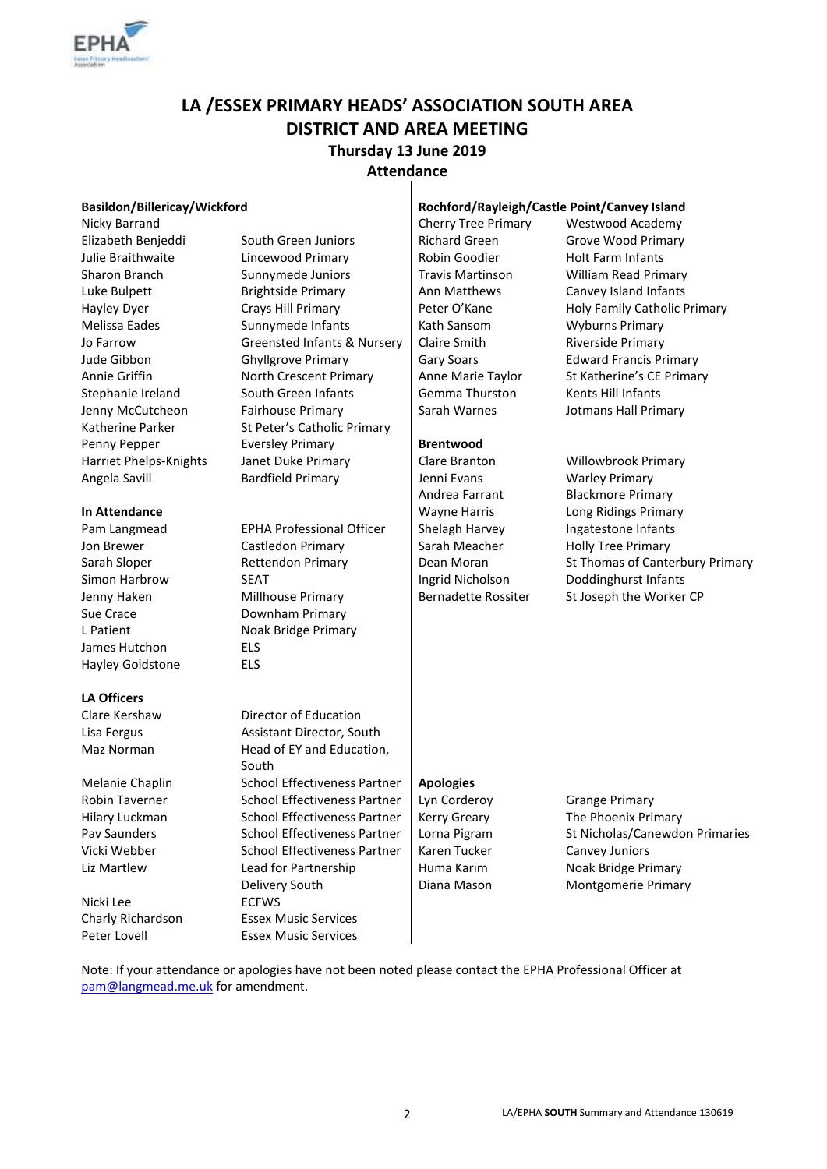

# **LA /ESSEX PRIMARY HEADS' ASSOCIATION SOUTH AREA DISTRICT AND AREA MEETING Thursday 13 June 2019 Attendance**

Nicky Barrand **Cherry Tree Primary** Westwood Academy

James Hutchon ELS Hayley Goldstone ELS

#### **LA Officers**

Nicki Lee **ECFWS** 

Elizabeth Benjeddi South Green Juniors Richard Green Grove Wood Primary Julie Braithwaite Lincewood Primary Robin Goodier Holt Farm Infants Sharon Branch Sunnymede Juniors | Travis Martinson William Read Primary Luke Bulpett **Brightside Primary** Ann Matthews Canvey Island Infants Melissa Eades Sunnymede Infants Kath Sansom Wyburns Primary Jo Farrow Greensted Infants & Nursery | Claire Smith Riverside Primary Jude Gibbon Ghyllgrove Primary Gary Soars Edward Francis Primary Annie Griffin **North Crescent Primary** Anne Marie Taylor St Katherine's CE Primary Stephanie Ireland South Green Infants Gemma Thurston Kents Hill Infants Jenny McCutcheon Fairhouse Primary Sarah Warnes Jotmans Hall Primary Katherine Parker St Peter's Catholic Primary Penny Pepper **Brentwood** Eversley Primary **Brentwood** Harriet Phelps-Knights Janet Duke Primary Clare Branton Willowbrook Primary Angela Savill **Bardfield Primary Jenni Evans** Warley Primary

Pam Langmead EPHA Professional Officer | Shelagh Harvey Ingatestone Infants Jon Brewer **Castledon Primary** Sarah Meacher Holly Tree Primary Simon Harbrow SEAT SEAT Ingrid Nicholson Doddinghurst Infants Sue Crace **Downham Primary** L Patient Noak Bridge Primary

Clare Kershaw Director of Education Lisa Fergus **Assistant Director, South** Maz Norman Head of EY and Education, South Melanie Chaplin School Effectiveness Partner **Apologies** Robin Taverner **School Effectiveness Partner Lyn Corderoy** Grange Primary Hilary Luckman School Effectiveness Partner | Kerry Greary The Phoenix Primary Vicki Webber School Effectiveness Partner | Karen Tucker Canvey Juniors Liz Martlew Lead for Partnership Delivery South Charly Richardson Essex Music Services Peter Lovell **Essex Music Services** 

#### **Basildon/Billericay/Wickford Rochford/Rayleigh/Castle Point/Canvey Island**

Andrea Farrant Blackmore Primary

Hayley Dyer **Crays Hill Primary** Peter O'Kane Holy Family Catholic Primary

**In Attendance In Attendance In Attendance In Attendance In Attendance In Attendance In Attendance In Attendance In Attendance In Attendance In Attendance In Attendance In Attendance In Attendance** Sarah Sloper **Rettendon Primary Dean Moran** St Thomas of Canterbury Primary Jenny Haken Millhouse Primary Bernadette Rossiter St Joseph the Worker CP

Huma Karim Diana Mason

Pav Saunders School Effectiveness Partner | Lorna Pigram St Nicholas/Canewdon Primaries Noak Bridge Primary Montgomerie Primary

Note: If your attendance or apologies have not been noted please contact the EPHA Professional Officer at [pam@langmead.me.uk](mailto:pam@langmead.me.uk) for amendment.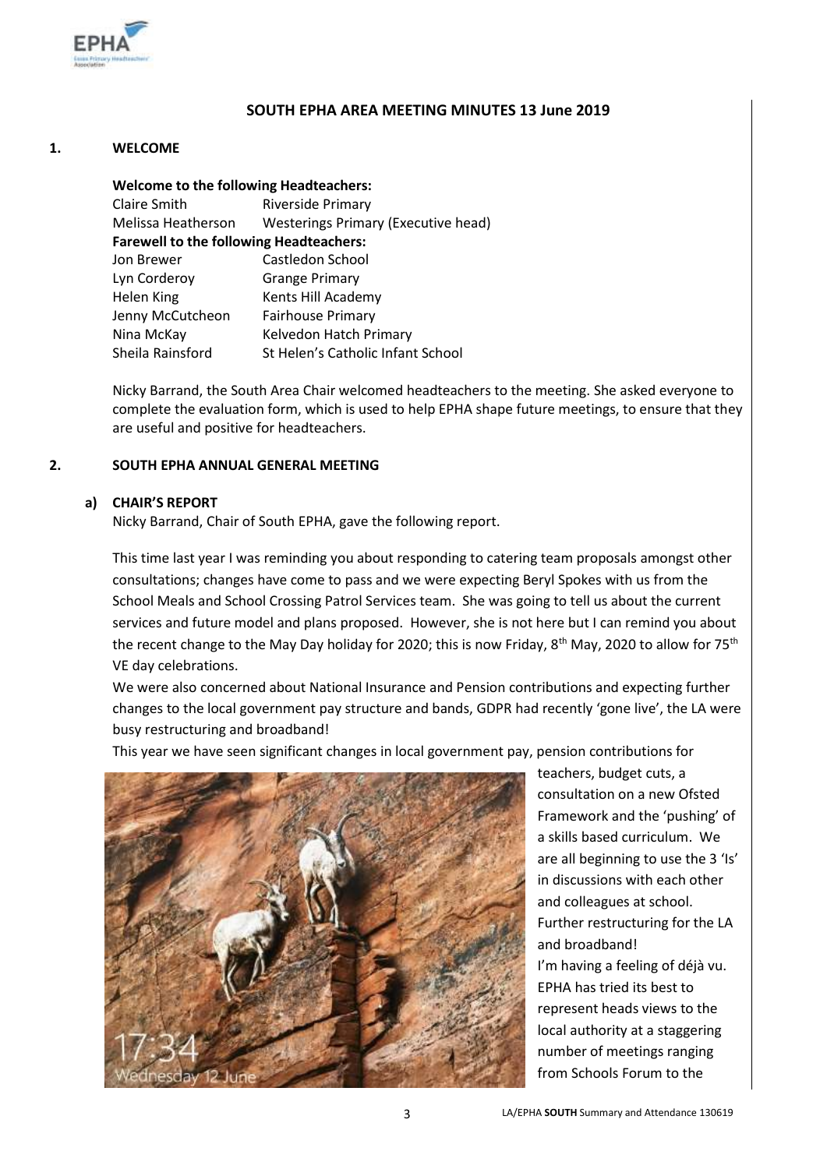

## **SOUTH EPHA AREA MEETING MINUTES 13 June 2019**

#### **1. WELCOME**

**Welcome to the following Headteachers:** Claire Smith Riverside Primary Melissa Heatherson Westerings Primary (Executive head) **Farewell to the following Headteachers:** Jon Brewer Castledon School Lyn Corderoy Grange Primary Helen King Kents Hill Academy Jenny McCutcheon Fairhouse Primary Nina McKay Kelvedon Hatch Primary Sheila Rainsford St Helen's Catholic Infant School

Nicky Barrand, the South Area Chair welcomed headteachers to the meeting. She asked everyone to complete the evaluation form, which is used to help EPHA shape future meetings, to ensure that they are useful and positive for headteachers.

#### **2. SOUTH EPHA ANNUAL GENERAL MEETING**

### **a) CHAIR'S REPORT**

Nicky Barrand, Chair of South EPHA, gave the following report.

This time last year I was reminding you about responding to catering team proposals amongst other consultations; changes have come to pass and we were expecting Beryl Spokes with us from the School Meals and School Crossing Patrol Services team. She was going to tell us about the current services and future model and plans proposed. However, she is not here but I can remind you about the recent change to the May Day holiday for 2020; this is now Friday, 8<sup>th</sup> May, 2020 to allow for 75<sup>th</sup> VE day celebrations.

We were also concerned about National Insurance and Pension contributions and expecting further changes to the local government pay structure and bands, GDPR had recently 'gone live', the LA were busy restructuring and broadband!

This year we have seen significant changes in local government pay, pension contributions for



teachers, budget cuts, a consultation on a new Ofsted Framework and the 'pushing' of a skills based curriculum. We are all beginning to use the 3 'Is' in discussions with each other and colleagues at school. Further restructuring for the LA and broadband! I'm having a feeling of déjà vu. EPHA has tried its best to represent heads views to the local authority at a staggering number of meetings ranging from Schools Forum to the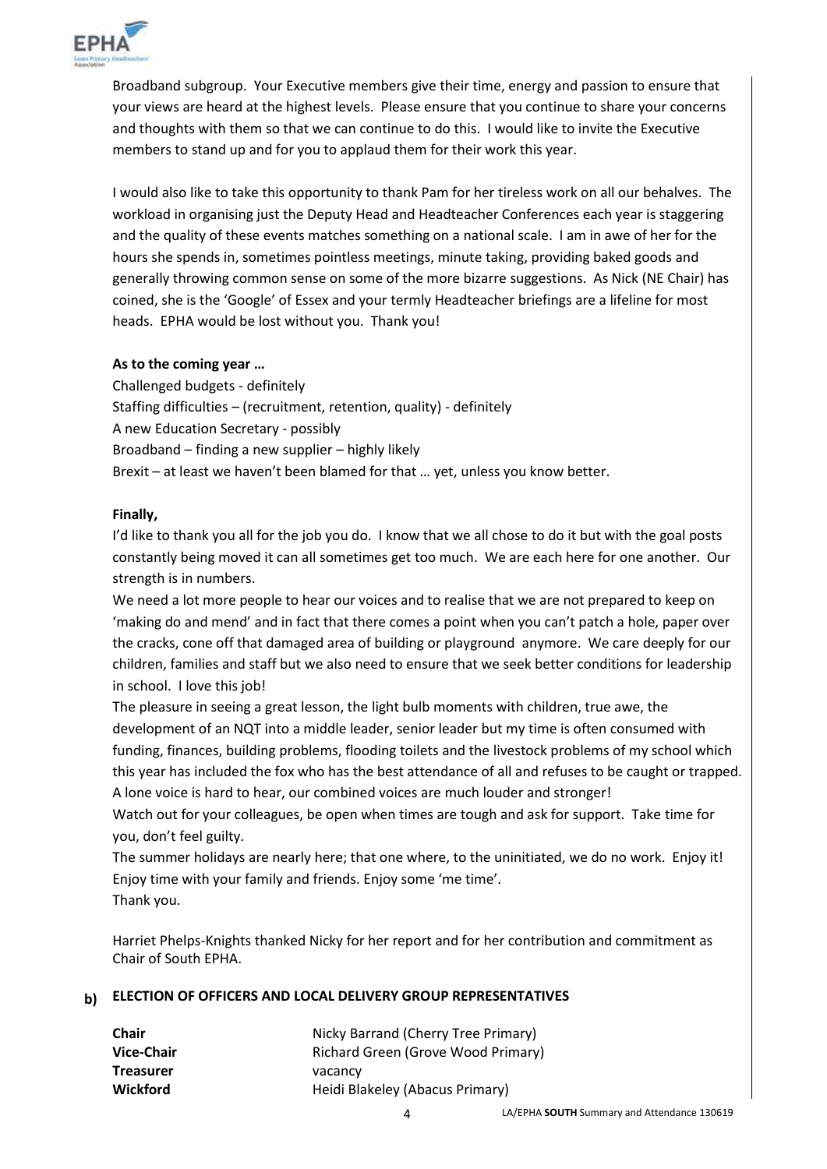

Broadband subgroup. Your Executive members give their time, energy and passion to ensure that your views are heard at the highest levels. Please ensure that you continue to share your concerns and thoughts with them so that we can continue to do this. I would like to invite the Executive members to stand up and for you to applaud them for their work this year.

I would also like to take this opportunity to thank Pam for her tireless work on all our behalves. The workload in organising just the Deputy Head and Headteacher Conferences each year is staggering and the quality of these events matches something on a national scale. I am in awe of her for the hours she spends in, sometimes pointless meetings, minute taking, providing baked goods and generally throwing common sense on some of the more bizarre suggestions. As Nick (NE Chair) has coined, she is the 'Google' of Essex and your termly Headteacher briefings are a lifeline for most heads. EPHA would be lost without you. Thank you!

### **As to the coming year …**

Challenged budgets - definitely Staffing difficulties – (recruitment, retention, quality) - definitely A new Education Secretary - possibly Broadband – finding a new supplier – highly likely Brexit – at least we haven't been blamed for that … yet, unless you know better.

### **Finally,**

I'd like to thank you all for the job you do. I know that we all chose to do it but with the goal posts constantly being moved it can all sometimes get too much. We are each here for one another. Our strength is in numbers.

We need a lot more people to hear our voices and to realise that we are not prepared to keep on 'making do and mend' and in fact that there comes a point when you can't patch a hole, paper over the cracks, cone off that damaged area of building or playground anymore. We care deeply for our children, families and staff but we also need to ensure that we seek better conditions for leadership in school. I love this job!

The pleasure in seeing a great lesson, the light bulb moments with children, true awe, the development of an NQT into a middle leader, senior leader but my time is often consumed with funding, finances, building problems, flooding toilets and the livestock problems of my school which this year has included the fox who has the best attendance of all and refuses to be caught or trapped. A lone voice is hard to hear, our combined voices are much louder and stronger!

Watch out for your colleagues, be open when times are tough and ask for support. Take time for you, don't feel guilty.

The summer holidays are nearly here; that one where, to the uninitiated, we do no work. Enjoy it! Enjoy time with your family and friends. Enjoy some 'me time'. Thank you.

Harriet Phelps-Knights thanked Nicky for her report and for her contribution and commitment as Chair of South EPHA.

# **b) ELECTION OF OFFICERS AND LOCAL DELIVERY GROUP REPRESENTATIVES**

| <b>Chair</b>      | Nicky Barrand (Cherry Tree Primary) |
|-------------------|-------------------------------------|
| <b>Vice-Chair</b> | Richard Green (Grove Wood Primary)  |
| <b>Treasurer</b>  | vacancy                             |
| <b>Wickford</b>   | Heidi Blakeley (Abacus Primary)     |